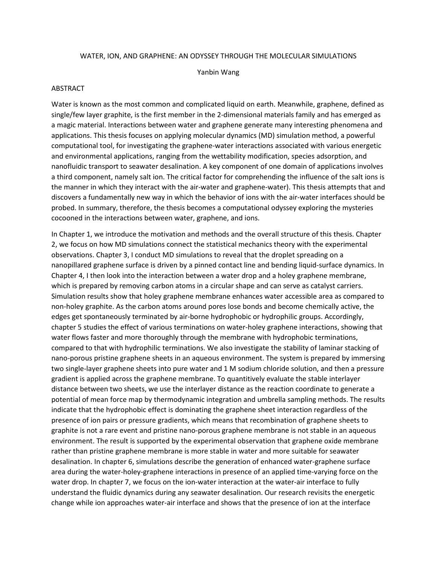## WATER, ION, AND GRAPHENE: AN ODYSSEY THROUGH THE MOLECULAR SIMULATIONS

Yanbin Wang

## **ABSTRACT**

Water is known as the most common and complicated liquid on earth. Meanwhile, graphene, defined as single/few layer graphite, is the first member in the 2-dimensional materials family and has emerged as a magic material. Interactions between water and graphene generate many interesting phenomena and applications. This thesis focuses on applying molecular dynamics (MD) simulation method, a powerful computational tool, for investigating the graphene-water interactions associated with various energetic and environmental applications, ranging from the wettability modification, species adsorption, and nanofluidic transport to seawater desalination. A key component of one domain of applications involves a third component, namely salt ion. The critical factor for comprehending the influence of the salt ions is the manner in which they interact with the air-water and graphene-water). This thesis attempts that and discovers a fundamentally new way in which the behavior of ions with the air-water interfaces should be probed. In summary, therefore, the thesis becomes a computational odyssey exploring the mysteries cocooned in the interactions between water, graphene, and ions.

In Chapter 1, we introduce the motivation and methods and the overall structure of this thesis. Chapter 2, we focus on how MD simulations connect the statistical mechanics theory with the experimental observations. Chapter 3, I conduct MD simulations to reveal that the droplet spreading on a nanopillared graphene surface is driven by a pinned contact line and bending liquid-surface dynamics. In Chapter 4, I then look into the interaction between a water drop and a holey graphene membrane, which is prepared by removing carbon atoms in a circular shape and can serve as catalyst carriers. Simulation results show that holey graphene membrane enhances water accessible area as compared to non-holey graphite. As the carbon atoms around pores lose bonds and become chemically active, the edges get spontaneously terminated by air-borne hydrophobic or hydrophilic groups. Accordingly, chapter 5 studies the effect of various terminations on water-holey graphene interactions, showing that water flows faster and more thoroughly through the membrane with hydrophobic terminations, compared to that with hydrophilic terminations. We also investigate the stability of laminar stacking of nano-porous pristine graphene sheets in an aqueous environment. The system is prepared by immersing two single-layer graphene sheets into pure water and 1 M sodium chloride solution, and then a pressure gradient is applied across the graphene membrane. To quantitively evaluate the stable interlayer distance between two sheets, we use the interlayer distance as the reaction coordinate to generate a potential of mean force map by thermodynamic integration and umbrella sampling methods. The results indicate that the hydrophobic effect is dominating the graphene sheet interaction regardless of the presence of ion pairs or pressure gradients, which means that recombination of graphene sheets to graphite is not a rare event and pristine nano-porous graphene membrane is not stable in an aqueous environment. The result is supported by the experimental observation that graphene oxide membrane rather than pristine graphene membrane is more stable in water and more suitable for seawater desalination. In chapter 6, simulations describe the generation of enhanced water-graphene surface area during the water-holey-graphene interactions in presence of an applied time-varying force on the water drop. In chapter 7, we focus on the ion-water interaction at the water-air interface to fully understand the fluidic dynamics during any seawater desalination. Our research revisits the energetic change while ion approaches water-air interface and shows that the presence of ion at the interface